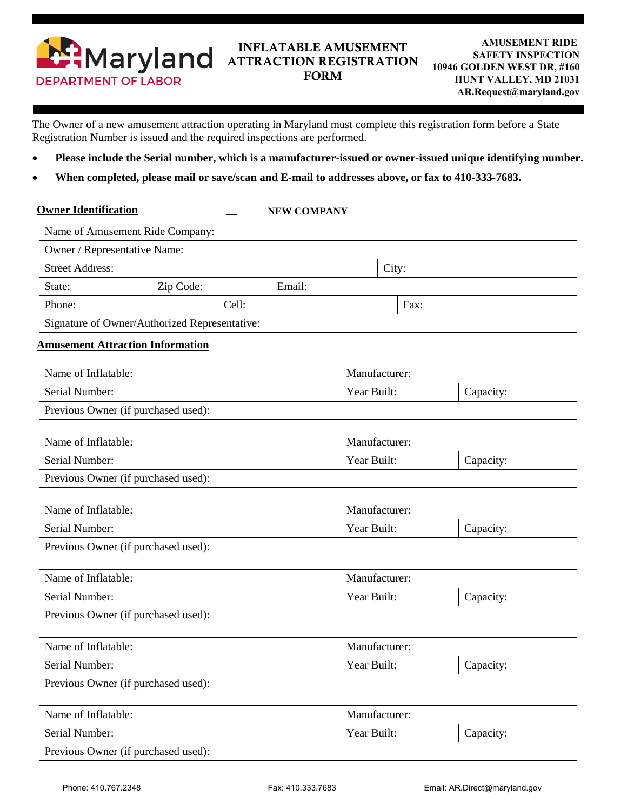

## INFLATABLE AMUSEMENT ATTRACTION REGISTRATION FORM

The Owner of a new amusement attraction operating in Maryland must complete this registration form before a State Registration Number is issued and the required inspections are performed.

- **Please include the Serial number, which is a manufacturer-issued or owner-issued unique identifying number.**
- **When completed, please mail or save/scan and E-mail to addresses above, or fax to 410-333-7683.**

| <b>Owner Identification</b>                   |           |       | <b>NEW COMPANY</b> |       |      |
|-----------------------------------------------|-----------|-------|--------------------|-------|------|
| Name of Amusement Ride Company:               |           |       |                    |       |      |
| Owner / Representative Name:                  |           |       |                    |       |      |
| <b>Street Address:</b>                        |           |       |                    | City: |      |
| State:                                        | Zip Code: |       | Email:             |       |      |
| Phone:                                        |           | Cell: |                    |       | Fax: |
| Signature of Owner/Authorized Representative: |           |       |                    |       |      |

## **Amusement Attraction Information**

| Name of Inflatable:                 | Manufacturer: |           |  |  |
|-------------------------------------|---------------|-----------|--|--|
| Serial Number:                      | Year Built:   | Capacity: |  |  |
| Previous Owner (if purchased used): |               |           |  |  |
|                                     |               |           |  |  |
| Name of Inflatable:                 | Manufacturer: |           |  |  |
| Serial Number:                      | Year Built:   | Capacity: |  |  |
| Previous Owner (if purchased used): |               |           |  |  |
|                                     |               |           |  |  |
| Name of Inflatable:                 | Manufacturer: |           |  |  |
| Serial Number:                      | Year Built:   | Capacity: |  |  |
| Previous Owner (if purchased used): |               |           |  |  |
|                                     |               |           |  |  |
| Name of Inflatable:                 | Manufacturer: |           |  |  |
| Serial Number:                      | Year Built:   | Capacity: |  |  |
| Previous Owner (if purchased used): |               |           |  |  |
|                                     |               |           |  |  |
| Name of Inflatable:                 | Manufacturer: |           |  |  |
| Serial Number:                      | Year Built:   | Capacity: |  |  |
| Previous Owner (if purchased used): |               |           |  |  |

| Name of Inflatable:                 | Manufacturer: |           |  |  |
|-------------------------------------|---------------|-----------|--|--|
| Serial Number:                      | Year Built:   | Capacity: |  |  |
| Previous Owner (if purchased used): |               |           |  |  |